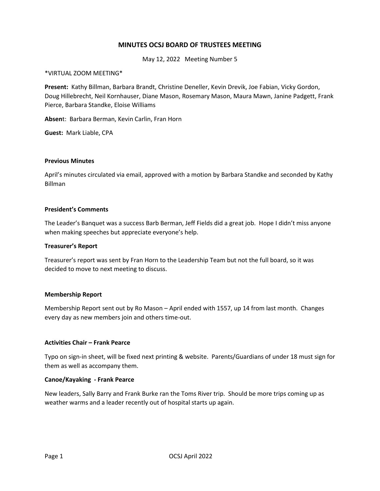# **MINUTES OCSJ BOARD OF TRUSTEES MEETING**

May 12, 2022 Meeting Number 5

#### \*VIRTUAL ZOOM MEETING\*

**Present:** Kathy Billman, Barbara Brandt, Christine Deneller, Kevin Drevik, Joe Fabian, Vicky Gordon, Doug Hillebrecht, Neil Kornhauser, Diane Mason, Rosemary Mason, Maura Mawn, Janine Padgett, Frank Pierce, Barbara Standke, Eloise Williams

**Absen**t: Barbara Berman, Kevin Carlin, Fran Horn

**Guest:** Mark Liable, CPA

#### **Previous Minutes**

April's minutes circulated via email, approved with a motion by Barbara Standke and seconded by Kathy Billman

#### **President's Comments**

The Leader's Banquet was a success Barb Berman, Jeff Fields did a great job. Hope I didn't miss anyone when making speeches but appreciate everyone's help.

#### **Treasurer's Report**

Treasurer's report was sent by Fran Horn to the Leadership Team but not the full board, so it was decided to move to next meeting to discuss.

# **Membership Report**

Membership Report sent out by Ro Mason – April ended with 1557, up 14 from last month. Changes every day as new members join and others time-out.

# **Activities Chair – Frank Pearce**

Typo on sign-in sheet, will be fixed next printing & website. Parents/Guardians of under 18 must sign for them as well as accompany them.

#### **Canoe/Kayaking - Frank Pearce**

New leaders, Sally Barry and Frank Burke ran the Toms River trip. Should be more trips coming up as weather warms and a leader recently out of hospital starts up again.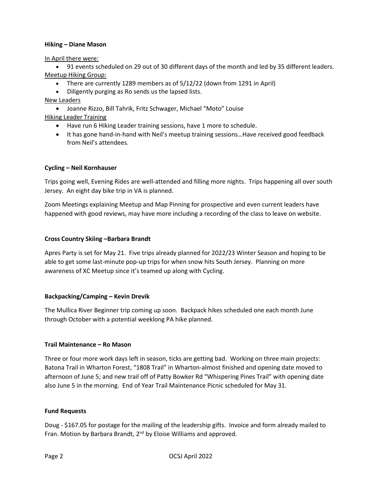#### **Hiking – Diane Mason**

In April there were:

• 91 events scheduled on 29 out of 30 different days of the month and led by 35 different leaders. Meetup Hiking Group:

- There are currently 1289 members as of 5/12/22 (down from 1291 in April)
- Diligently purging as Ro sends us the lapsed lists.

# New Leaders

• Joanne Rizzo, Bill Tahrik, Fritz Schwager, Michael "Moto" Louise Hiking Leader Training

- Have run 6 Hiking Leader training sessions, have 1 more to schedule.
- It has gone hand-in-hand with Neil's meetup training sessions...Have received good feedback from Neil's attendees.

# **Cycling – Neil Kornhauser**

Trips going well, Evening Rides are well-attended and filling more nights. Trips happening all over south Jersey. An eight day bike trip in VA is planned.

Zoom Meetings explaining Meetup and Map Pinning for prospective and even current leaders have happened with good reviews, may have more including a recording of the class to leave on website.

# **Cross Country Skiing –Barbara Brandt**

Apres Party is set for May 21. Five trips already planned for 2022/23 Winter Season and hoping to be able to get some last-minute pop-up trips for when snow hits South Jersey. Planning on more awareness of XC Meetup since it's teamed up along with Cycling.

# **Backpacking/Camping – Kevin Drevik**

The Mullica River Beginner trip coming up soon. Backpack hikes scheduled one each month June through October with a potential weeklong PA hike planned.

# **Trail Maintenance – Ro Mason**

Three or four more work days left in season, ticks are getting bad. Working on three main projects: Batona Trail in Wharton Forest, "1808 Trail" in Wharton-almost finished and opening date moved to afternoon of June 5; and new trail off of Patty Bowker Rd "Whispering Pines Trail" with opening date also June 5 in the morning. End of Year Trail Maintenance Picnic scheduled for May 31.

#### **Fund Requests**

Doug - \$167.05 for postage for the mailing of the leadership gifts. Invoice and form already mailed to Fran. Motion by Barbara Brandt, 2<sup>nd</sup> by Eloise Williams and approved.